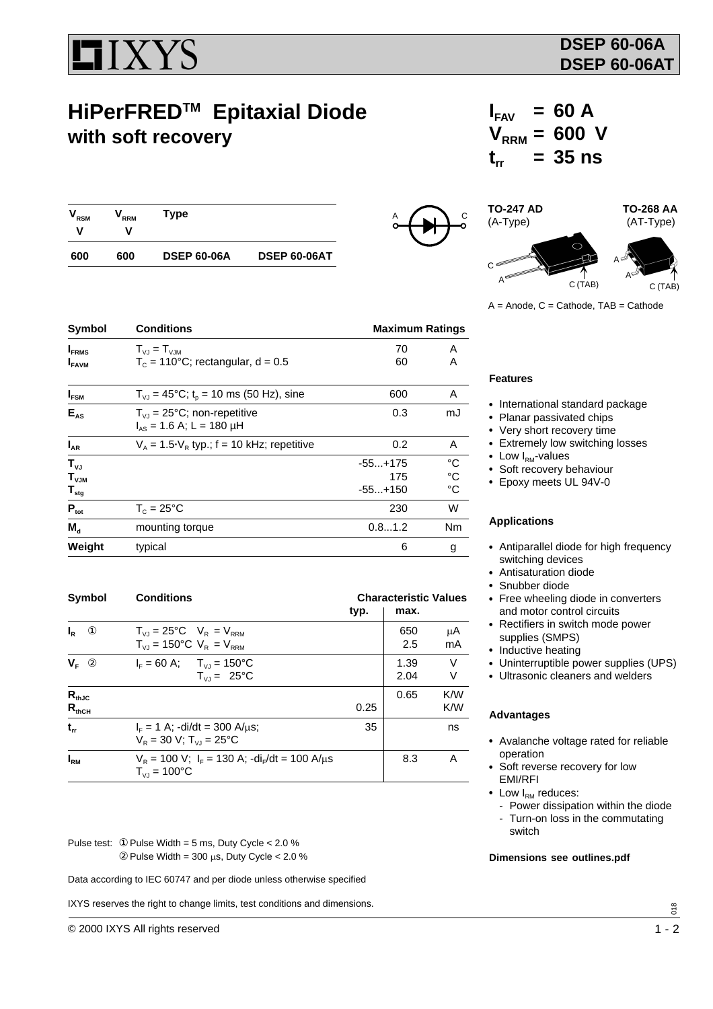

# **HiPerFREDTM Epitaxial Diode with soft recovery**

| <b>RSM</b> | <sup>7</sup> RRM | Type               |                     |
|------------|------------------|--------------------|---------------------|
| 600        | 600              | <b>DSEP 60-06A</b> | <b>DSEP 60-06AT</b> |



## $I_{FAV} = 60 A$  $V_{RRM} = 600 V$  $t_{r}$  = 35 ns

**TO-247 AD TO-268 AA** (A-Type) (AT-Type) A A C (TAB)  $\mathsf{C}$  $C(TAR)$ 

 $A =$  Anode,  $C =$  Cathode,  $TAB =$  Cathode

| <b>Symbol</b>            | <b>Conditions</b>                                     |           | <b>Maximum Ratings</b> |  |  |
|--------------------------|-------------------------------------------------------|-----------|------------------------|--|--|
| <b>I</b> <sub>FRMS</sub> | $T_{V1} = T_{V1M}$                                    | 70        | A                      |  |  |
| <b>I</b> FAVM            | $T_c = 110^{\circ}$ C; rectangular, d = 0.5           | 60        | A                      |  |  |
| $I_{FSM}$                | $T_{VJ}$ = 45°C; t <sub>o</sub> = 10 ms (50 Hz), sine | 600       | A                      |  |  |
| $E_{AS}$                 | $T_{VJ}$ = 25°C; non-repetitive                       | 0.3       | mJ                     |  |  |
|                          | $I_{AS}$ = 1.6 A; L = 180 µH                          |           |                        |  |  |
| $I_{AR}$                 | $V_A$ = 1.5 $V_R$ typ.; f = 10 kHz; repetitive        | 0.2       | A                      |  |  |
| $T_{VJ}$                 |                                                       | $-55+175$ | °C                     |  |  |
| $T_{VJM}$                |                                                       | 175       | $\rm ^{\circ}C$        |  |  |
| $\mathsf{T}_{\sf stg}$   |                                                       | $-55+150$ | $^{\circ}C$            |  |  |
| $P_{\text{tot}}$         | $T_c = 25^{\circ}$ C                                  | 230       | W                      |  |  |
| $M_{\rm A}$              | mounting torque                                       | 0.81.2    | Nm                     |  |  |
| Weight                   | typical                                               | 6         | g                      |  |  |

| Symbol                        | <b>Conditions</b>                                                                                    | <b>Characteristic Values</b> |              |             |
|-------------------------------|------------------------------------------------------------------------------------------------------|------------------------------|--------------|-------------|
|                               |                                                                                                      | typ.                         | max.         |             |
| $^{\circ}$<br>$I_{R}$         | $T_{V1} = 25^{\circ}C$ $V_R = V_{RRM}$<br>$T_{V,I} = 150^{\circ}C$ V <sub>R</sub> = V <sub>RRM</sub> |                              | 650<br>2.5   | μA<br>mA    |
| $V_{\rm F}$<br>$^{\circledR}$ | $I_{\rm F} = 60 \text{ A}; \quad T_{\rm VI} = 150^{\circ} \text{C}$<br>$T_{V1} = 25^{\circ}C$        |                              | 1.39<br>2.04 | $\vee$<br>V |
| $R_{thJC}$<br>$R_{thCH}$      |                                                                                                      | 0.25                         | 0.65         | K/W<br>K/W  |
| $t_{rr}$                      | $I_{\rm c} = 1$ A; -di/dt = 300 A/us;<br>$V_R = 30 V$ ; $T_{VL} = 25^{\circ}C$                       |                              |              | ns          |
| $I_{\rm RM}$                  | $V_R$ = 100 V; $I_F$ = 130 A; -di <sub>r</sub> /dt = 100 A/ $\mu$ s<br>$T_{V1} = 100^{\circ}C$       |                              | 8.3          | А           |

Pulse test: ① Pulse Width = 5 ms, Duty Cycle < 2.0 %  $\textcircled{2}$  Pulse Width = 300 µs, Duty Cycle < 2.0 %

Data according to IEC 60747 and per diode unless otherwise specified

IXYS reserves the right to change limits, test conditions and dimensions.

#### **Features**

- International standard package
- Planar passivated chips
- Very short recovery time
- Extremely low switching losses
- Low  $I<sub>RM</sub>$ -values
- Soft recovery behaviour
- Epoxy meets UL 94V-0

#### **Applications**

- Antiparallel diode for high frequency switching devices
- Antisaturation diode
- Snubber diode
- Free wheeling diode in converters and motor control circuits
- Rectifiers in switch mode power supplies (SMPS)
- Inductive heating
- Uninterruptible power supplies (UPS)
- Ultrasonic cleaners and welders

#### **Advantages**

- Avalanche voltage rated for reliable operation
- Soft reverse recovery for low EMI/RFI
- $\bullet$  Low  $I_{\text{RM}}$  reduces:
	- Power dissipation within the diode
- Turn-on loss in the commutating switch

#### **Dimensions see outlines.pdf**